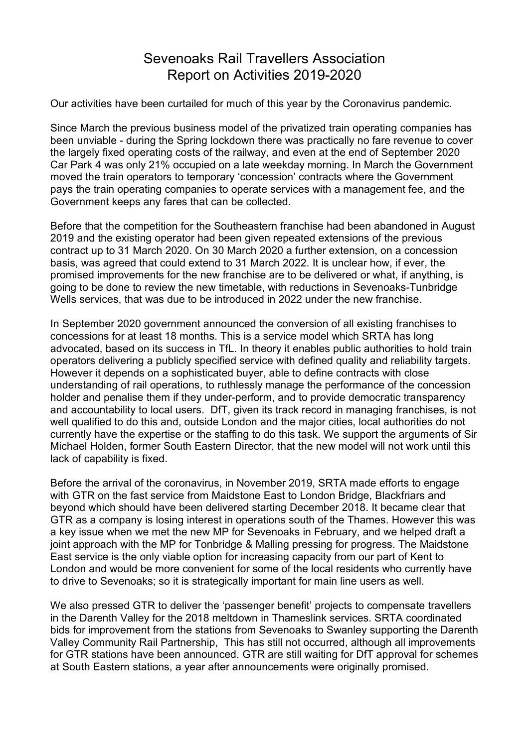## Sevenoaks Rail Travellers Association Report on Activities 2019-2020

Our activities have been curtailed for much of this year by the Coronavirus pandemic.

Since March the previous business model of the privatized train operating companies has been unviable - during the Spring lockdown there was practically no fare revenue to cover the largely fixed operating costs of the railway, and even at the end of September 2020 Car Park 4 was only 21% occupied on a late weekday morning. In March the Government moved the train operators to temporary 'concession' contracts where the Government pays the train operating companies to operate services with a management fee, and the Government keeps any fares that can be collected.

Before that the competition for the Southeastern franchise had been abandoned in August 2019 and the existing operator had been given repeated extensions of the previous contract up to 31 March 2020. On 30 March 2020 a further extension, on a concession basis, was agreed that could extend to 31 March 2022. It is unclear how, if ever, the promised improvements for the new franchise are to be delivered or what, if anything, is going to be done to review the new timetable, with reductions in Sevenoaks-Tunbridge Wells services, that was due to be introduced in 2022 under the new franchise.

In September 2020 government announced the conversion of all existing franchises to concessions for at least 18 months. This is a service model which SRTA has long advocated, based on its success in TfL. In theory it enables public authorities to hold train operators delivering a publicly specified service with defined quality and reliability targets. However it depends on a sophisticated buyer, able to define contracts with close understanding of rail operations, to ruthlessly manage the performance of the concession holder and penalise them if they under-perform, and to provide democratic transparency and accountability to local users. DfT, given its track record in managing franchises, is not well qualified to do this and, outside London and the major cities, local authorities do not currently have the expertise or the staffing to do this task. We support the arguments of Sir Michael Holden, former South Eastern Director, that the new model will not work until this lack of capability is fixed.

Before the arrival of the coronavirus, in November 2019, SRTA made efforts to engage with GTR on the fast service from Maidstone East to London Bridge, Blackfriars and beyond which should have been delivered starting December 2018. It became clear that GTR as a company is losing interest in operations south of the Thames. However this was a key issue when we met the new MP for Sevenoaks in February, and we helped draft a joint approach with the MP for Tonbridge & Malling pressing for progress. The Maidstone East service is the only viable option for increasing capacity from our part of Kent to London and would be more convenient for some of the local residents who currently have to drive to Sevenoaks; so it is strategically important for main line users as well.

We also pressed GTR to deliver the 'passenger benefit' projects to compensate travellers in the Darenth Valley for the 2018 meltdown in Thameslink services. SRTA coordinated bids for improvement from the stations from Sevenoaks to Swanley supporting the Darenth Valley Community Rail Partnership, This has still not occurred, although all improvements for GTR stations have been announced. GTR are still waiting for DfT approval for schemes at South Eastern stations, a year after announcements were originally promised.